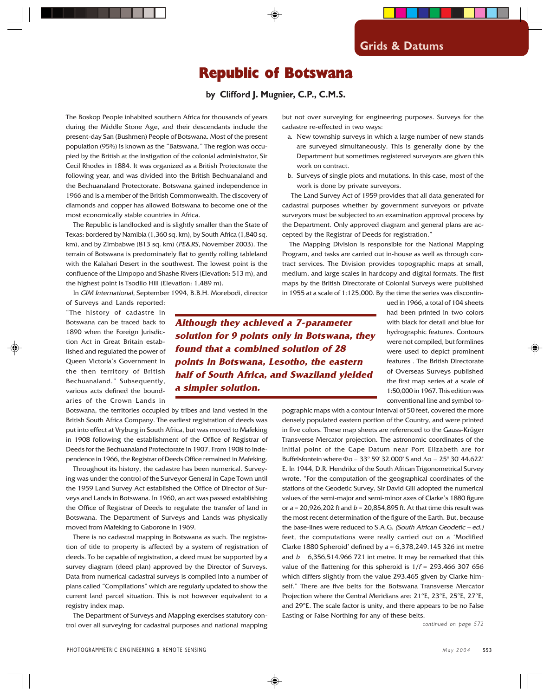## Republic of Botswana

**by Clifford J. Mugnier, C.P., C.M.S.**

The Boskop People inhabited southern Africa for thousands of years during the Middle Stone Age, and their descendants include the present-day San (Bushmen) People of Botswana. Most of the present population (95%) is known as the "Batswana." The region was occupied by the British at the instigation of the colonial administrator, Sir Cecil Rhodes in 1884. It was organized as a British Protectorate the following year, and was divided into the British Bechuanaland and the Bechuanaland Protectorate. Botswana gained independence in 1966 and is a member of the British Commonwealth. The discovery of diamonds and copper has allowed Botswana to become one of the most economically stable countries in Africa.

The Republic is landlocked and is slightly smaller than the State of Texas: bordered by Namibia (1,360 sq. km), by South Africa (1,840 sq. km), and by Zimbabwe (813 sq. km) (PE&RS, November 2003). The terrain of Botswana is predominately flat to gently rolling tableland with the Kalahari Desert in the southwest. The lowest point is the confluence of the Limpopo and Shashe Rivers (Elevation: 513 m), and the highest point is Tsodilo Hill (Elevation: 1,489 m).

In GIM International, September 1994, B.B.H. Morebodi, director

but not over surveying for engineering purposes. Surveys for the cadastre re-effected in two ways:

- a. New township surveys in which a large number of new stands are surveyed simultaneously. This is generally done by the Department but sometimes registered surveyors are given this work on contract.
- b. Surveys of single plots and mutations. In this case, most of the work is done by private surveyors.

 The Land Survey Act of 1959 provides that all data generated for cadastral purposes whether by government surveyors or private surveyors must be subjected to an examination approval process by the Department. Only approved diagram and general plans are accepted by the Registrar of Deeds for registration."

The Mapping Division is responsible for the National Mapping Program, and tasks are carried out in-house as well as through contract services. The Division provides topographic maps at small, medium, and large scales in hardcopy and digital formats. The first maps by the British Directorate of Colonial Surveys were published in 1955 at a scale of 1:125,000. By the time the series was discontin-

of Surveys and Lands reported: "The history of cadastre in Botswana can be traced back to 1890 when the Foreign Jurisdiction Act in Great Britain established and regulated the power of Queen Victoria's Government in the then territory of British Bechuanaland." Subsequently, various acts defined the boundaries of the Crown Lands in

**Although they achieved a 7-parameter solution for 9 points only in Botswana, they found that a combined solution of 28 points in Botswana, Lesotho, the eastern half of South Africa, and Swaziland yielded a simpler solution.**

ued in 1966, a total of 104 sheets had been printed in two colors with black for detail and blue for hydrographic features. Contours were not compiled, but formlines were used to depict prominent features . The British Directorate of Overseas Surveys published the first map series at a scale of 1:50,000 in 1967. This edition was conventional line and symbol to-

Botswana, the territories occupied by tribes and land vested in the British South Africa Company. The earliest registration of deeds was put into effect at Vryburg in South Africa, but was moved to Mafeking in 1908 following the establishment of the Office of Registrar of Deeds for the Bechuanaland Protectorate in 1907. From 1908 to independence in 1966, the Registrar of Deeds Office remained in Mafeking.

Throughout its history, the cadastre has been numerical. Surveying was under the control of the Surveyor General in Cape Town until the 1959 Land Survey Act established the Office of Director of Surveys and Lands in Botswana. In 1960, an act was passed establishing the Office of Registrar of Deeds to regulate the transfer of land in Botswana. The Department of Surveys and Lands was physically moved from Mafeking to Gaborone in 1969.

There is no cadastral mapping in Botswana as such. The registration of title to property is affected by a system of registration of deeds. To be capable of registration, a deed must be supported by a survey diagram (deed plan) approved by the Director of Surveys. Data from numerical cadastral surveys is compiled into a number of plans called "Compilations" which are regularly updated to show the current land parcel situation. This is not however equivalent to a registry index map.

The Department of Surveys and Mapping exercises statutory control over all surveying for cadastral purposes and national mapping pographic maps with a contour interval of 50 feet, covered the more densely populated eastern portion of the Country, and were printed in five colors. These map sheets are referenced to the Gauss-Krüger Transverse Mercator projection. The astronomic coordinates of the initial point of the Cape Datum near Port Elizabeth are for Buffelsfontein where Φo = 33º 59' 32.000" S and Λo = 25º 30' 44.622" E. In 1944, D.R. Hendrikz of the South African Trigonometrical Survey wrote, "For the computation of the geographical coordinates of the stations of the Geodetic Survey, Sir David Gill adopted the numerical values of the semi-major and semi-minor axes of Clarke's 1880 figure or  $a = 20,926,202$  ft and  $b = 20,854,895$  ft. At that time this result was the most recent determination of the figure of the Earth. But, because the base-lines were reduced to S.A.G. (South African Geodetic – ed.) feet, the computations were really carried out on a 'Modified Clarke 1880 Spheroid' defined by  $a = 6,378,249.145$  326 int metre and  $b = 6,356,514.966$  721 int metre. It may be remarked that this value of the flattening for this spheroid is  $1/f = 293.466307656$ which differs slightly from the value 293.465 given by Clarke himself." There are five belts for the Botswana Transverse Mercator Projection where the Central Meridians are: 21ºE, 23ºE, 25ºE, 27ºE, and 29ºE. The scale factor is unity, and there appears to be no False Easting or False Northing for any of these belts.

*continued on page 572*